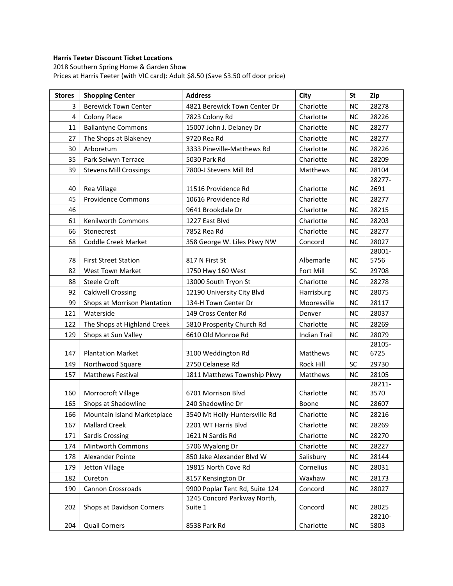## **Harris Teeter Discount Ticket Locations**

2018 Southern Spring Home & Garden Show Prices at Harris Teeter (with VIC card): Adult \$8.50 (Save \$3.50 off door price)

| <b>Stores</b>  | <b>Shopping Center</b>        | <b>Address</b>                 | City                | <b>St</b> | Zip             |
|----------------|-------------------------------|--------------------------------|---------------------|-----------|-----------------|
| 3              | <b>Berewick Town Center</b>   | 4821 Berewick Town Center Dr   | Charlotte           | <b>NC</b> | 28278           |
| $\overline{4}$ | <b>Colony Place</b>           | 7823 Colony Rd                 | Charlotte           | <b>NC</b> | 28226           |
| 11             | <b>Ballantyne Commons</b>     | 15007 John J. Delaney Dr       | Charlotte           | <b>NC</b> | 28277           |
| 27             | The Shops at Blakeney         | 9720 Rea Rd                    | Charlotte           | <b>NC</b> | 28277           |
| 30             | Arboretum                     | 3333 Pineville-Matthews Rd     | Charlotte           | <b>NC</b> | 28226           |
| 35             | Park Selwyn Terrace           | 5030 Park Rd                   | Charlotte           | <b>NC</b> | 28209           |
| 39             | <b>Stevens Mill Crossings</b> | 7800-J Stevens Mill Rd         | Matthews            | <b>NC</b> | 28104           |
|                |                               |                                |                     |           | 28277-          |
| 40             | Rea Village                   | 11516 Providence Rd            | Charlotte           | <b>NC</b> | 2691            |
| 45             | Providence Commons            | 10616 Providence Rd            | Charlotte           | <b>NC</b> | 28277           |
| 46             |                               | 9641 Brookdale Dr              | Charlotte           | <b>NC</b> | 28215           |
| 61             | Kenilworth Commons            | 1227 East Blvd                 | Charlotte           | <b>NC</b> | 28203           |
| 66             | Stonecrest                    | 7852 Rea Rd                    | Charlotte           | <b>NC</b> | 28277           |
| 68             | <b>Coddle Creek Market</b>    | 358 George W. Liles Pkwy NW    | Concord             | <b>NC</b> | 28027           |
|                |                               |                                |                     |           | 28001-          |
| 78             | <b>First Street Station</b>   | 817 N First St                 | Albemarle           | <b>NC</b> | 5756            |
| 82             | West Town Market              | 1750 Hwy 160 West              | Fort Mill           | SC        | 29708           |
| 88             | <b>Steele Croft</b>           | 13000 South Tryon St           | Charlotte           | <b>NC</b> | 28278           |
| 92             | <b>Caldwell Crossing</b>      | 12190 University City Blvd     | Harrisburg          | <b>NC</b> | 28075           |
| 99             | Shops at Morrison Plantation  | 134-H Town Center Dr           | Mooresville         | <b>NC</b> | 28117           |
| 121            | Waterside                     | 149 Cross Center Rd            | Denver              | <b>NC</b> | 28037           |
| 122            | The Shops at Highland Creek   | 5810 Prosperity Church Rd      | Charlotte           | <b>NC</b> | 28269           |
| 129            | Shops at Sun Valley           | 6610 Old Monroe Rd             | <b>Indian Trail</b> | <b>NC</b> | 28079           |
|                |                               |                                |                     |           | 28105-          |
| 147            | <b>Plantation Market</b>      | 3100 Weddington Rd             | Matthews            | <b>NC</b> | 6725            |
| 149            | Northwood Square              | 2750 Celanese Rd               | Rock Hill           | SC        | 29730           |
| 157            | <b>Matthews Festival</b>      | 1811 Matthews Township Pkwy    | Matthews            | <b>NC</b> | 28105<br>28211- |
| 160            | Morrocroft Village            | 6701 Morrison Blvd             | Charlotte           | <b>NC</b> | 3570            |
| 165            | Shops at Shadowline           | 240 Shadowline Dr              | Boone               | <b>NC</b> | 28607           |
| 166            | Mountain Island Marketplace   | 3540 Mt Holly-Huntersville Rd  | Charlotte           | $NC$      | 28216           |
| 167            | <b>Mallard Creek</b>          | 2201 WT Harris Blvd            | Charlotte           | <b>NC</b> | 28269           |
| 171            | <b>Sardis Crossing</b>        | 1621 N Sardis Rd               | Charlotte           | NC        | 28270           |
| 174            | Mintworth Commons             | 5706 Wyalong Dr                | Charlotte           | <b>NC</b> | 28227           |
| 178            | Alexander Pointe              | 850 Jake Alexander Blvd W      | Salisbury           | <b>NC</b> | 28144           |
| 179            | Jetton Village                | 19815 North Cove Rd            | Cornelius           | <b>NC</b> | 28031           |
| 182            | Cureton                       | 8157 Kensington Dr             | Waxhaw              | <b>NC</b> | 28173           |
| 190            | Cannon Crossroads             | 9900 Poplar Tent Rd, Suite 124 | Concord             | <b>NC</b> | 28027           |
|                |                               | 1245 Concord Parkway North,    |                     |           |                 |
| 202            | Shops at Davidson Corners     | Suite 1                        | Concord             | <b>NC</b> | 28025           |
|                |                               |                                |                     |           | 28210-          |
| 204            | <b>Quail Corners</b>          | 8538 Park Rd                   | Charlotte           | <b>NC</b> | 5803            |